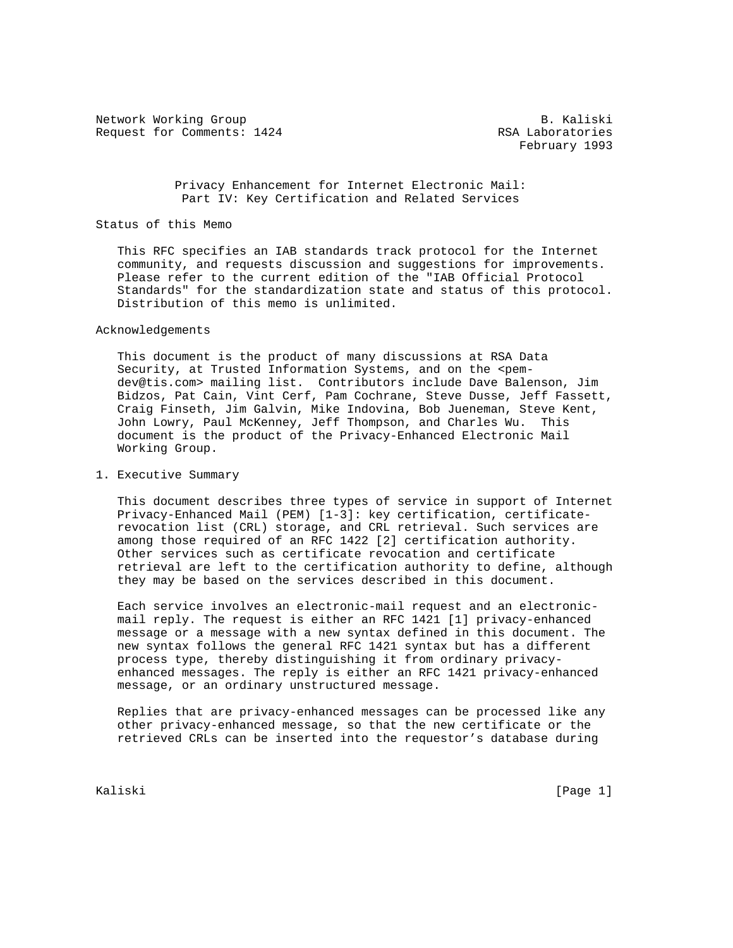Network Working Group and the set of the set of the set of the set of the set of the set of the set of the set of the set of the set of the set of the set of the set of the set of the set of the set of the set of the set o Request for Comments: 1424 RSA Laboratories

February 1993

 Privacy Enhancement for Internet Electronic Mail: Part IV: Key Certification and Related Services

### Status of this Memo

 This RFC specifies an IAB standards track protocol for the Internet community, and requests discussion and suggestions for improvements. Please refer to the current edition of the "IAB Official Protocol Standards" for the standardization state and status of this protocol. Distribution of this memo is unlimited.

#### Acknowledgements

 This document is the product of many discussions at RSA Data Security, at Trusted Information Systems, and on the <pem dev@tis.com> mailing list. Contributors include Dave Balenson, Jim Bidzos, Pat Cain, Vint Cerf, Pam Cochrane, Steve Dusse, Jeff Fassett, Craig Finseth, Jim Galvin, Mike Indovina, Bob Jueneman, Steve Kent, John Lowry, Paul McKenney, Jeff Thompson, and Charles Wu. This document is the product of the Privacy-Enhanced Electronic Mail Working Group.

## 1. Executive Summary

 This document describes three types of service in support of Internet Privacy-Enhanced Mail (PEM) [1-3]: key certification, certificate revocation list (CRL) storage, and CRL retrieval. Such services are among those required of an RFC 1422 [2] certification authority. Other services such as certificate revocation and certificate retrieval are left to the certification authority to define, although they may be based on the services described in this document.

 Each service involves an electronic-mail request and an electronic mail reply. The request is either an RFC 1421 [1] privacy-enhanced message or a message with a new syntax defined in this document. The new syntax follows the general RFC 1421 syntax but has a different process type, thereby distinguishing it from ordinary privacy enhanced messages. The reply is either an RFC 1421 privacy-enhanced message, or an ordinary unstructured message.

 Replies that are privacy-enhanced messages can be processed like any other privacy-enhanced message, so that the new certificate or the retrieved CRLs can be inserted into the requestor's database during

Kaliski [Page 1]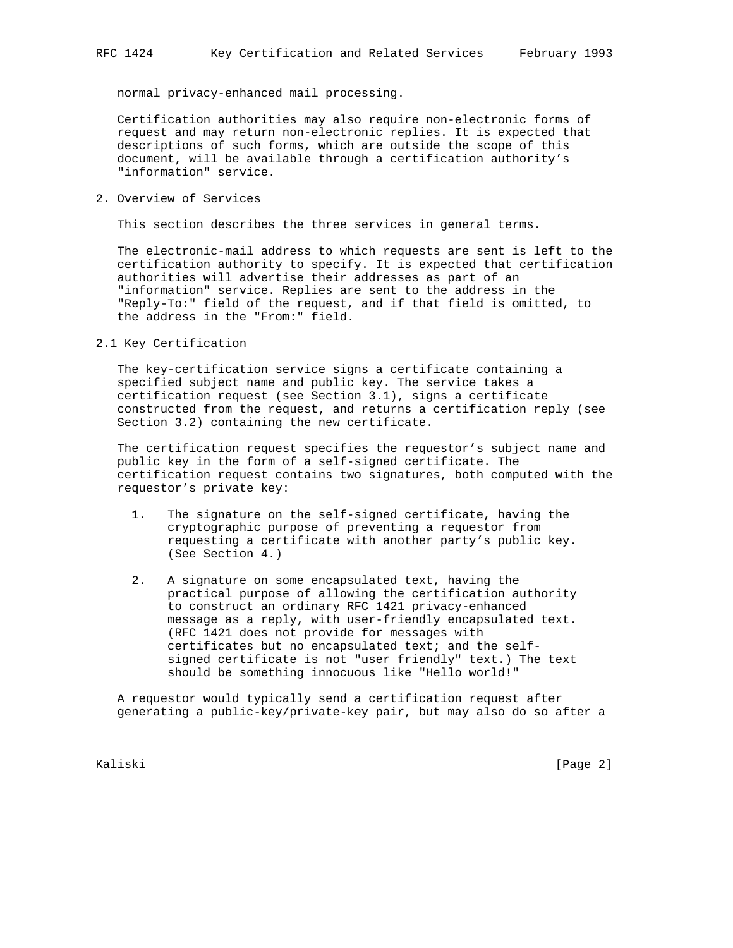normal privacy-enhanced mail processing.

 Certification authorities may also require non-electronic forms of request and may return non-electronic replies. It is expected that descriptions of such forms, which are outside the scope of this document, will be available through a certification authority's "information" service.

2. Overview of Services

This section describes the three services in general terms.

 The electronic-mail address to which requests are sent is left to the certification authority to specify. It is expected that certification authorities will advertise their addresses as part of an "information" service. Replies are sent to the address in the "Reply-To:" field of the request, and if that field is omitted, to the address in the "From:" field.

2.1 Key Certification

 The key-certification service signs a certificate containing a specified subject name and public key. The service takes a certification request (see Section 3.1), signs a certificate constructed from the request, and returns a certification reply (see Section 3.2) containing the new certificate.

 The certification request specifies the requestor's subject name and public key in the form of a self-signed certificate. The certification request contains two signatures, both computed with the requestor's private key:

- 1. The signature on the self-signed certificate, having the cryptographic purpose of preventing a requestor from requesting a certificate with another party's public key. (See Section 4.)
- 2. A signature on some encapsulated text, having the practical purpose of allowing the certification authority to construct an ordinary RFC 1421 privacy-enhanced message as a reply, with user-friendly encapsulated text. (RFC 1421 does not provide for messages with certificates but no encapsulated text; and the self signed certificate is not "user friendly" text.) The text should be something innocuous like "Hello world!"

 A requestor would typically send a certification request after generating a public-key/private-key pair, but may also do so after a

Kaliski [Page 2]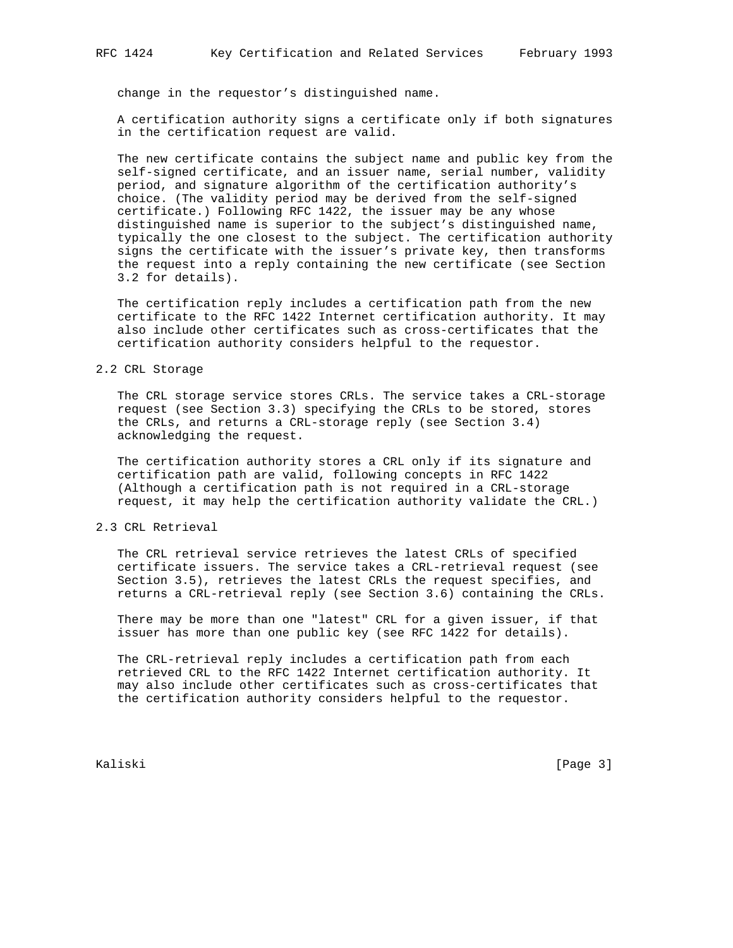change in the requestor's distinguished name.

 A certification authority signs a certificate only if both signatures in the certification request are valid.

 The new certificate contains the subject name and public key from the self-signed certificate, and an issuer name, serial number, validity period, and signature algorithm of the certification authority's choice. (The validity period may be derived from the self-signed certificate.) Following RFC 1422, the issuer may be any whose distinguished name is superior to the subject's distinguished name, typically the one closest to the subject. The certification authority signs the certificate with the issuer's private key, then transforms the request into a reply containing the new certificate (see Section 3.2 for details).

 The certification reply includes a certification path from the new certificate to the RFC 1422 Internet certification authority. It may also include other certificates such as cross-certificates that the certification authority considers helpful to the requestor.

# 2.2 CRL Storage

 The CRL storage service stores CRLs. The service takes a CRL-storage request (see Section 3.3) specifying the CRLs to be stored, stores the CRLs, and returns a CRL-storage reply (see Section 3.4) acknowledging the request.

 The certification authority stores a CRL only if its signature and certification path are valid, following concepts in RFC 1422 (Although a certification path is not required in a CRL-storage request, it may help the certification authority validate the CRL.)

### 2.3 CRL Retrieval

 The CRL retrieval service retrieves the latest CRLs of specified certificate issuers. The service takes a CRL-retrieval request (see Section 3.5), retrieves the latest CRLs the request specifies, and returns a CRL-retrieval reply (see Section 3.6) containing the CRLs.

 There may be more than one "latest" CRL for a given issuer, if that issuer has more than one public key (see RFC 1422 for details).

 The CRL-retrieval reply includes a certification path from each retrieved CRL to the RFC 1422 Internet certification authority. It may also include other certificates such as cross-certificates that the certification authority considers helpful to the requestor.

Kaliski [Page 3]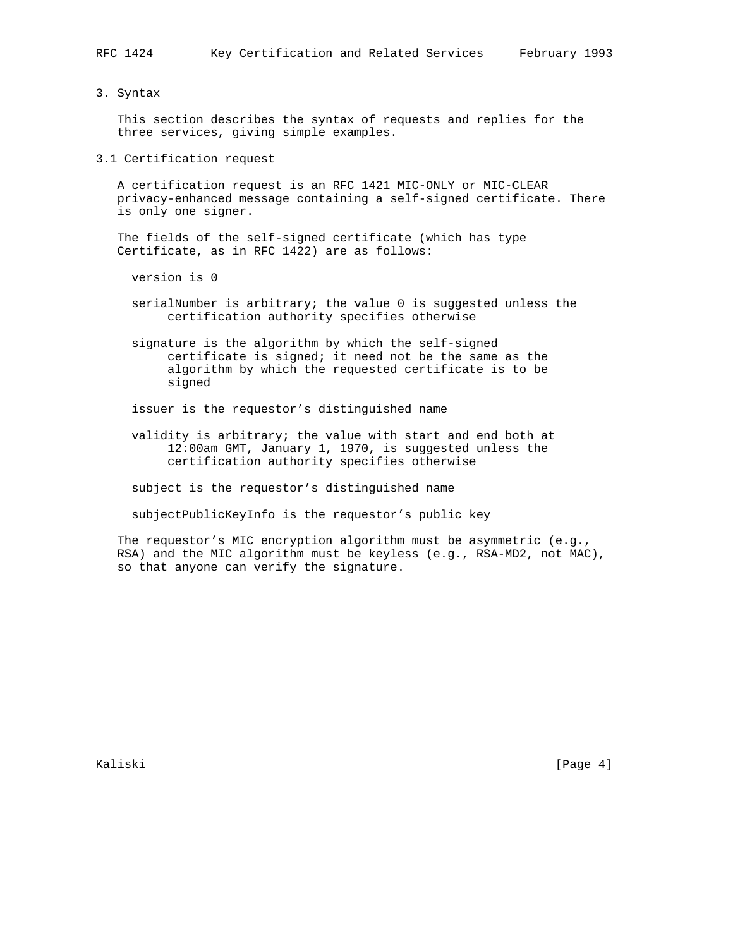#### 3. Syntax

 This section describes the syntax of requests and replies for the three services, giving simple examples.

3.1 Certification request

 A certification request is an RFC 1421 MIC-ONLY or MIC-CLEAR privacy-enhanced message containing a self-signed certificate. There is only one signer.

 The fields of the self-signed certificate (which has type Certificate, as in RFC 1422) are as follows:

- version is 0
- serialNumber is arbitrary; the value 0 is suggested unless the certification authority specifies otherwise

 signature is the algorithm by which the self-signed certificate is signed; it need not be the same as the algorithm by which the requested certificate is to be signed

- issuer is the requestor's distinguished name
- validity is arbitrary; the value with start and end both at 12:00am GMT, January 1, 1970, is suggested unless the certification authority specifies otherwise

subject is the requestor's distinguished name

subjectPublicKeyInfo is the requestor's public key

 The requestor's MIC encryption algorithm must be asymmetric (e.g., RSA) and the MIC algorithm must be keyless (e.g., RSA-MD2, not MAC), so that anyone can verify the signature.

Kaliski [Page 4]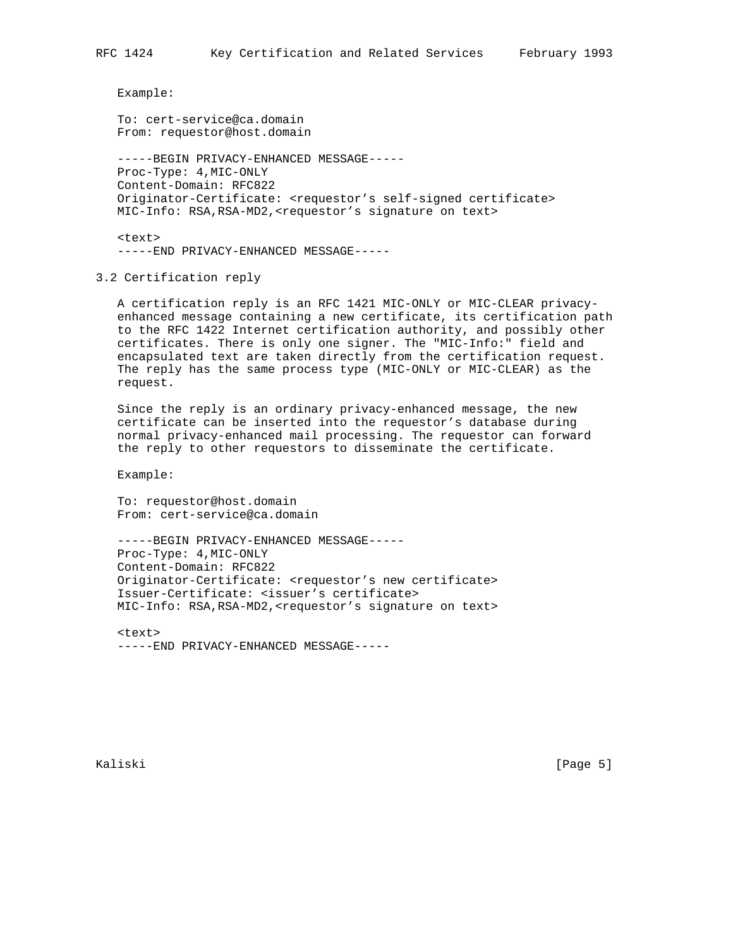Example:

 To: cert-service@ca.domain From: requestor@host.domain

 -----BEGIN PRIVACY-ENHANCED MESSAGE----- Proc-Type: 4,MIC-ONLY Content-Domain: RFC822 Originator-Certificate: <requestor's self-signed certificate> MIC-Info: RSA, RSA-MD2, <requestor's signature on text>

 <text> -----END PRIVACY-ENHANCED MESSAGE-----

3.2 Certification reply

 A certification reply is an RFC 1421 MIC-ONLY or MIC-CLEAR privacy enhanced message containing a new certificate, its certification path to the RFC 1422 Internet certification authority, and possibly other certificates. There is only one signer. The "MIC-Info:" field and encapsulated text are taken directly from the certification request. The reply has the same process type (MIC-ONLY or MIC-CLEAR) as the request.

 Since the reply is an ordinary privacy-enhanced message, the new certificate can be inserted into the requestor's database during normal privacy-enhanced mail processing. The requestor can forward the reply to other requestors to disseminate the certificate.

Example:

 To: requestor@host.domain From: cert-service@ca.domain

 -----BEGIN PRIVACY-ENHANCED MESSAGE----- Proc-Type: 4,MIC-ONLY Content-Domain: RFC822 Originator-Certificate: <requestor's new certificate> Issuer-Certificate: <issuer's certificate> MIC-Info: RSA, RSA-MD2, <requestor's signature on text>

 $<sub>tx</sub>$ </sub> -----END PRIVACY-ENHANCED MESSAGE-----

Kaliski [Page 5]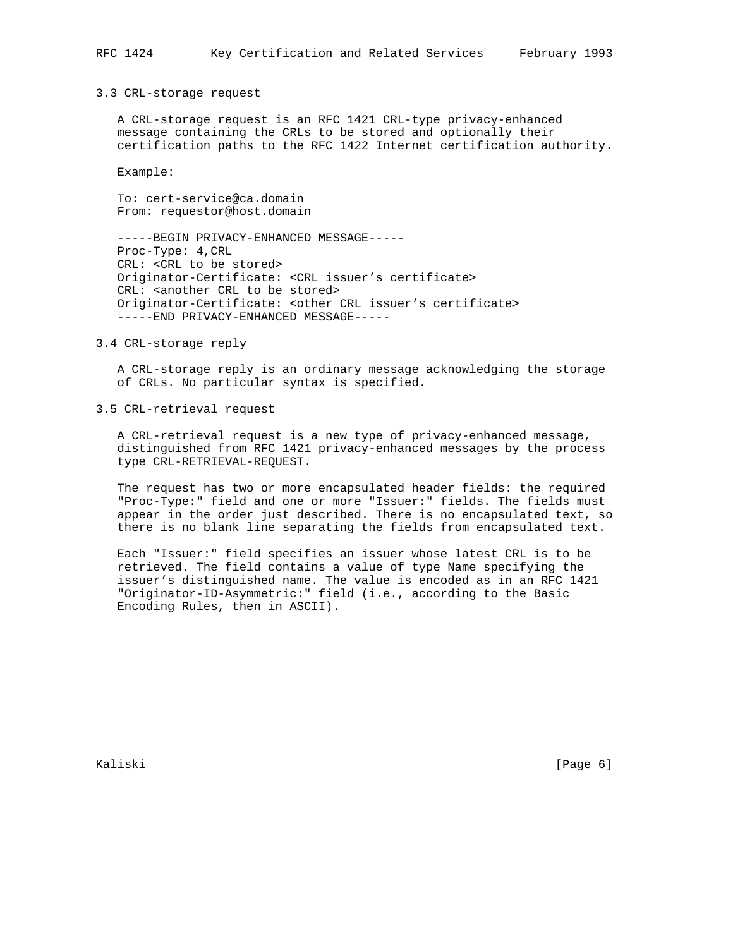3.3 CRL-storage request

 A CRL-storage request is an RFC 1421 CRL-type privacy-enhanced message containing the CRLs to be stored and optionally their certification paths to the RFC 1422 Internet certification authority.

Example:

 To: cert-service@ca.domain From: requestor@host.domain

 -----BEGIN PRIVACY-ENHANCED MESSAGE----- Proc-Type: 4,CRL CRL: <CRL to be stored> Originator-Certificate: <CRL issuer's certificate> CRL: <another CRL to be stored> Originator-Certificate: < other CRL issuer's certificate> -----END PRIVACY-ENHANCED MESSAGE-----

#### 3.4 CRL-storage reply

 A CRL-storage reply is an ordinary message acknowledging the storage of CRLs. No particular syntax is specified.

3.5 CRL-retrieval request

 A CRL-retrieval request is a new type of privacy-enhanced message, distinguished from RFC 1421 privacy-enhanced messages by the process type CRL-RETRIEVAL-REQUEST.

 The request has two or more encapsulated header fields: the required "Proc-Type:" field and one or more "Issuer:" fields. The fields must appear in the order just described. There is no encapsulated text, so there is no blank line separating the fields from encapsulated text.

 Each "Issuer:" field specifies an issuer whose latest CRL is to be retrieved. The field contains a value of type Name specifying the issuer's distinguished name. The value is encoded as in an RFC 1421 "Originator-ID-Asymmetric:" field (i.e., according to the Basic Encoding Rules, then in ASCII).

Kaliski [Page 6]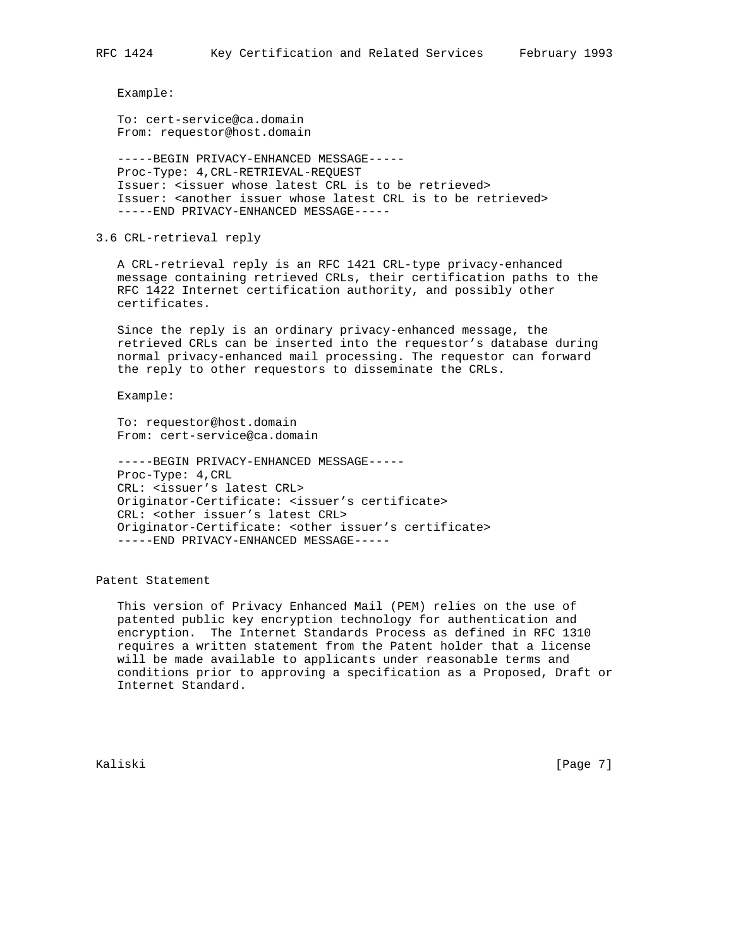Example:

 To: cert-service@ca.domain From: requestor@host.domain

 -----BEGIN PRIVACY-ENHANCED MESSAGE----- Proc-Type: 4,CRL-RETRIEVAL-REQUEST Issuer: <issuer whose latest CRL is to be retrieved> Issuer: <another issuer whose latest CRL is to be retrieved> -----END PRIVACY-ENHANCED MESSAGE-----

3.6 CRL-retrieval reply

 A CRL-retrieval reply is an RFC 1421 CRL-type privacy-enhanced message containing retrieved CRLs, their certification paths to the RFC 1422 Internet certification authority, and possibly other certificates.

 Since the reply is an ordinary privacy-enhanced message, the retrieved CRLs can be inserted into the requestor's database during normal privacy-enhanced mail processing. The requestor can forward the reply to other requestors to disseminate the CRLs.

Example:

 To: requestor@host.domain From: cert-service@ca.domain

 -----BEGIN PRIVACY-ENHANCED MESSAGE----- Proc-Type: 4,CRL CRL: <issuer's latest CRL> Originator-Certificate: <issuer's certificate> CRL: <other issuer's latest CRL> Originator-Certificate: <other issuer's certificate> -----END PRIVACY-ENHANCED MESSAGE-----

Patent Statement

 This version of Privacy Enhanced Mail (PEM) relies on the use of patented public key encryption technology for authentication and encryption. The Internet Standards Process as defined in RFC 1310 requires a written statement from the Patent holder that a license will be made available to applicants under reasonable terms and conditions prior to approving a specification as a Proposed, Draft or Internet Standard.

Kaliski [Page 7]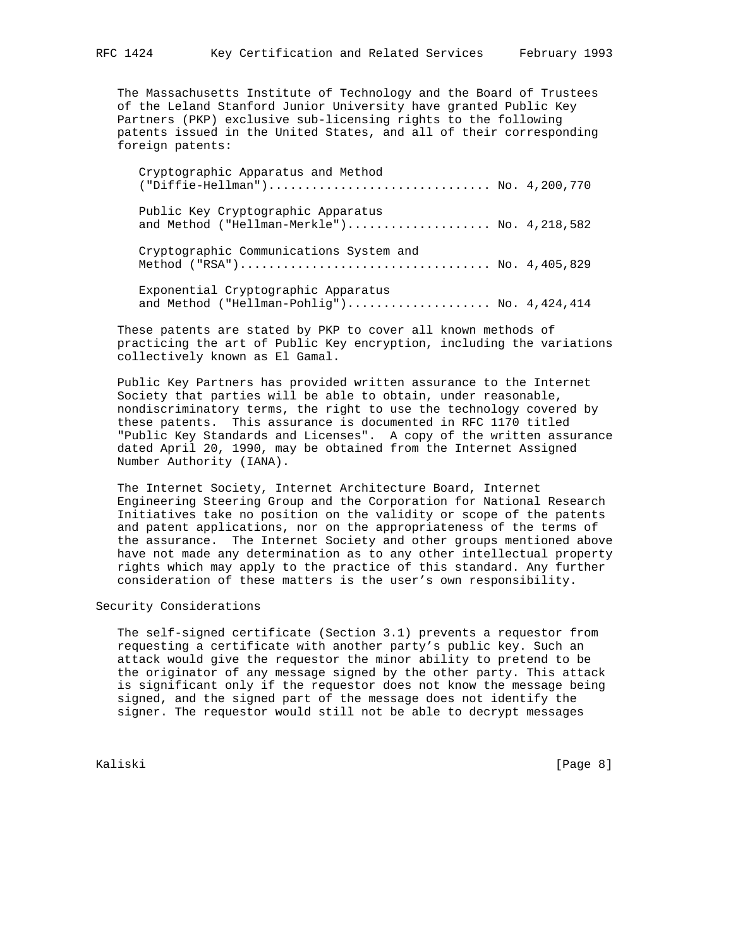The Massachusetts Institute of Technology and the Board of Trustees of the Leland Stanford Junior University have granted Public Key Partners (PKP) exclusive sub-licensing rights to the following patents issued in the United States, and all of their corresponding foreign patents:

| Cryptographic Apparatus and Method<br>("Diffie-Hellman") No. 4,200,770               |  |
|--------------------------------------------------------------------------------------|--|
| Public Key Cryptographic Apparatus<br>and Method ("Hellman-Merkle") No. $4,218,582$  |  |
| Cryptographic Communications System and                                              |  |
| Exponential Cryptographic Apparatus<br>and Method ("Hellman-Pohlig") No. $4,424,414$ |  |

 These patents are stated by PKP to cover all known methods of practicing the art of Public Key encryption, including the variations collectively known as El Gamal.

 Public Key Partners has provided written assurance to the Internet Society that parties will be able to obtain, under reasonable, nondiscriminatory terms, the right to use the technology covered by these patents. This assurance is documented in RFC 1170 titled "Public Key Standards and Licenses". A copy of the written assurance dated April 20, 1990, may be obtained from the Internet Assigned Number Authority (IANA).

 The Internet Society, Internet Architecture Board, Internet Engineering Steering Group and the Corporation for National Research Initiatives take no position on the validity or scope of the patents and patent applications, nor on the appropriateness of the terms of the assurance. The Internet Society and other groups mentioned above have not made any determination as to any other intellectual property rights which may apply to the practice of this standard. Any further consideration of these matters is the user's own responsibility.

# Security Considerations

 The self-signed certificate (Section 3.1) prevents a requestor from requesting a certificate with another party's public key. Such an attack would give the requestor the minor ability to pretend to be the originator of any message signed by the other party. This attack is significant only if the requestor does not know the message being signed, and the signed part of the message does not identify the signer. The requestor would still not be able to decrypt messages

Kaliski [Page 8]